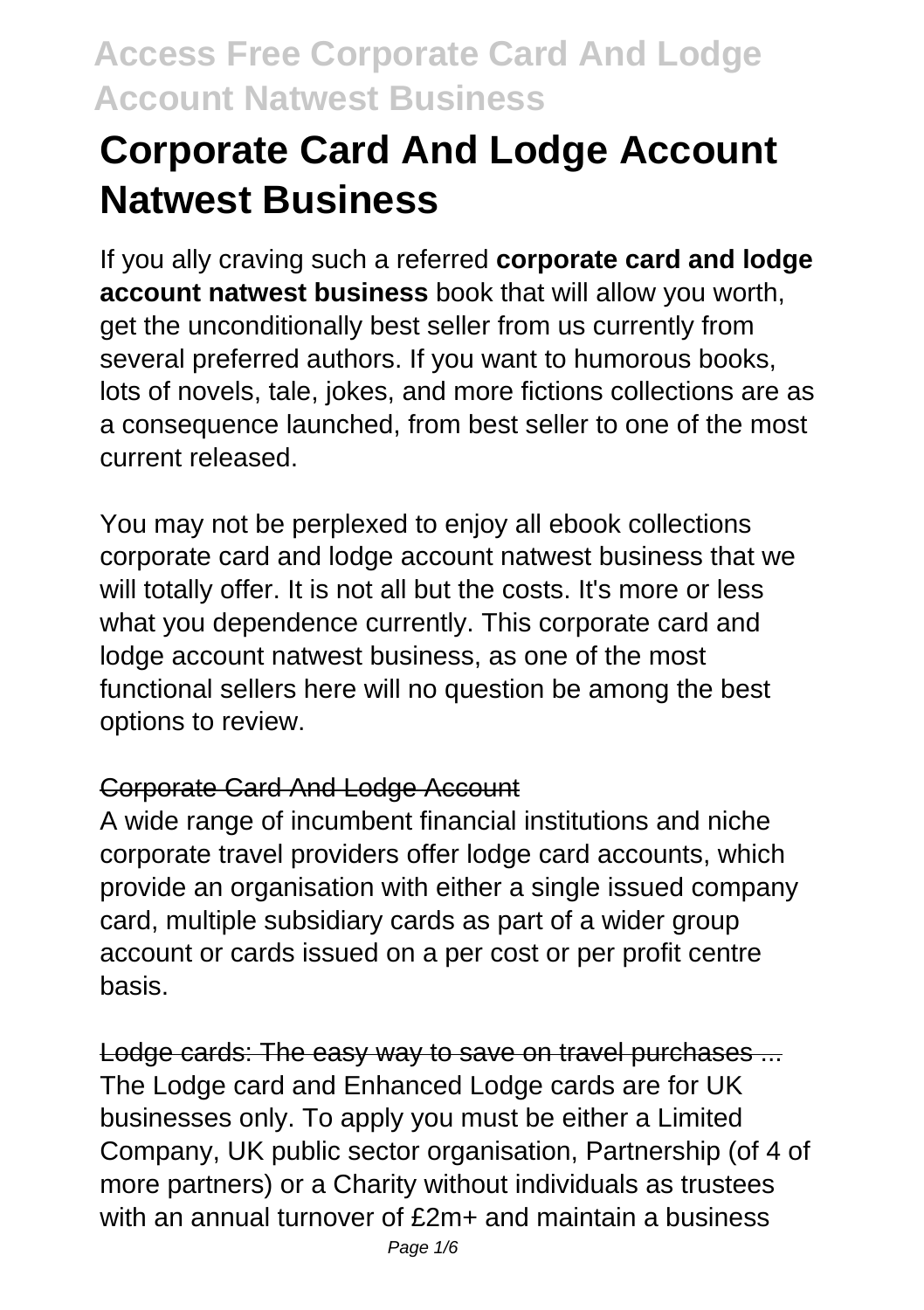# **Corporate Card And Lodge Account Natwest Business**

If you ally craving such a referred **corporate card and lodge account natwest business** book that will allow you worth, get the unconditionally best seller from us currently from several preferred authors. If you want to humorous books, lots of novels, tale, jokes, and more fictions collections are as a consequence launched, from best seller to one of the most current released.

You may not be perplexed to enjoy all ebook collections corporate card and lodge account natwest business that we will totally offer. It is not all but the costs. It's more or less what you dependence currently. This corporate card and lodge account natwest business, as one of the most functional sellers here will no question be among the best options to review.

### Corporate Card And Lodge Account

A wide range of incumbent financial institutions and niche corporate travel providers offer lodge card accounts, which provide an organisation with either a single issued company card, multiple subsidiary cards as part of a wider group account or cards issued on a per cost or per profit centre basis.

Lodge cards: The easy way to save on travel purchases ... The Lodge card and Enhanced Lodge cards are for UK businesses only. To apply you must be either a Limited Company, UK public sector organisation, Partnership (of 4 of more partners) or a Charity without individuals as trustees with an annual turnover of £2m+ and maintain a business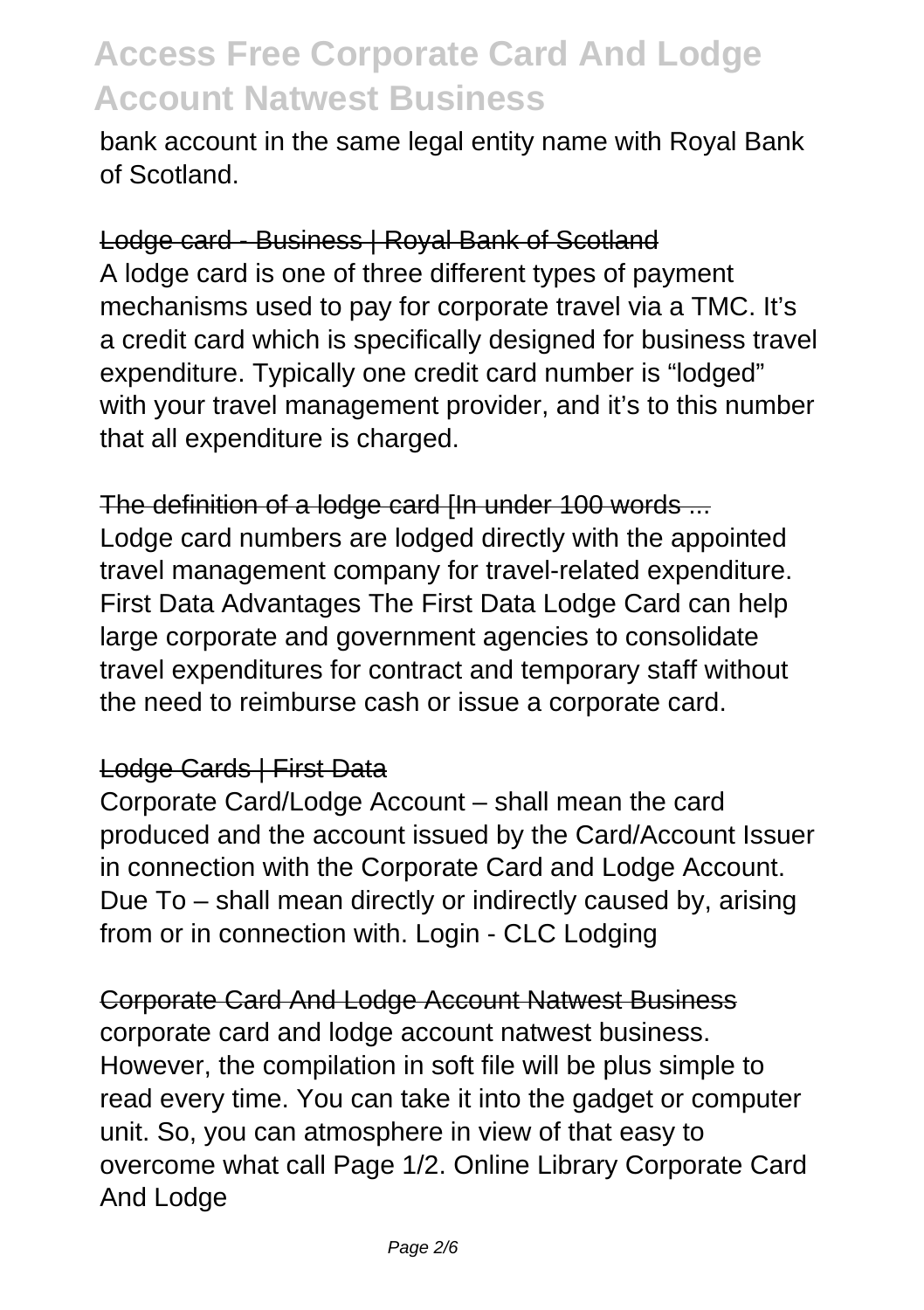bank account in the same legal entity name with Royal Bank of Scotland.

Lodge card - Business | Royal Bank of Scotland

A lodge card is one of three different types of payment mechanisms used to pay for corporate travel via a TMC. It's a credit card which is specifically designed for business travel expenditure. Typically one credit card number is "lodged" with your travel management provider, and it's to this number that all expenditure is charged.

The definition of a lodge card IIn under 100 words ...

Lodge card numbers are lodged directly with the appointed travel management company for travel-related expenditure. First Data Advantages The First Data Lodge Card can help large corporate and government agencies to consolidate travel expenditures for contract and temporary staff without the need to reimburse cash or issue a corporate card.

#### Lodge Cards | First Data

Corporate Card/Lodge Account – shall mean the card produced and the account issued by the Card/Account Issuer in connection with the Corporate Card and Lodge Account. Due To – shall mean directly or indirectly caused by, arising from or in connection with. Login - CLC Lodging

Corporate Card And Lodge Account Natwest Business corporate card and lodge account natwest business. However, the compilation in soft file will be plus simple to read every time. You can take it into the gadget or computer unit. So, you can atmosphere in view of that easy to overcome what call Page 1/2. Online Library Corporate Card And Lodge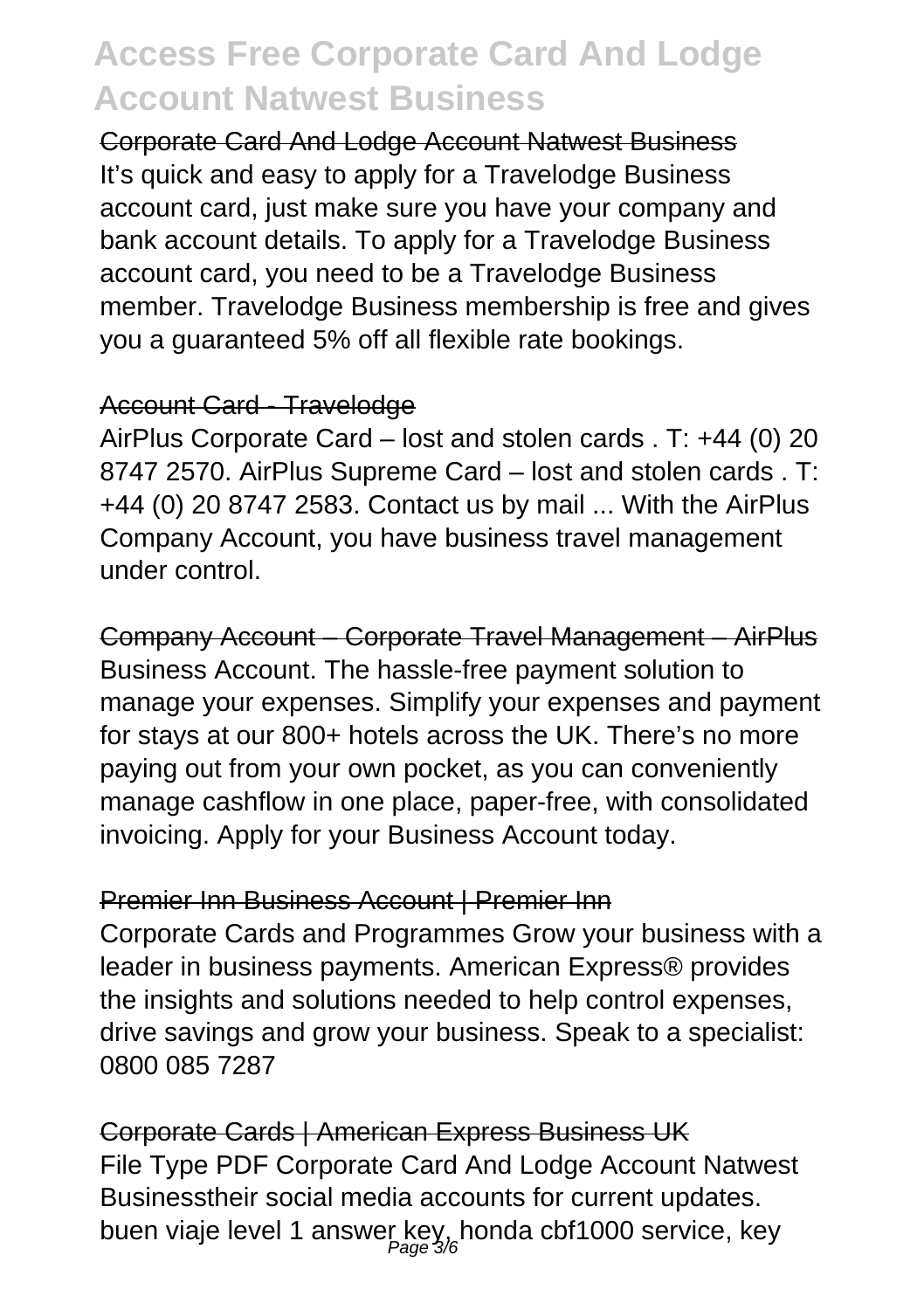Corporate Card And Lodge Account Natwest Business It's quick and easy to apply for a Travelodge Business account card, just make sure you have your company and bank account details. To apply for a Travelodge Business account card, you need to be a Travelodge Business member. Travelodge Business membership is free and gives you a guaranteed 5% off all flexible rate bookings.

#### Account Card - Travelodge

AirPlus Corporate Card – lost and stolen cards . T: +44 (0) 20 8747 2570. AirPlus Supreme Card – lost and stolen cards . T: +44 (0) 20 8747 2583. Contact us by mail ... With the AirPlus Company Account, you have business travel management under control.

Company Account – Corporate Travel Management – AirPlus Business Account. The hassle-free payment solution to manage your expenses. Simplify your expenses and payment for stays at our 800+ hotels across the UK. There's no more paying out from your own pocket, as you can conveniently manage cashflow in one place, paper-free, with consolidated invoicing. Apply for your Business Account today.

#### **Premier Inn Business Account | Premier Inn**

Corporate Cards and Programmes Grow your business with a leader in business payments. American Express® provides the insights and solutions needed to help control expenses, drive savings and grow your business. Speak to a specialist: 0800 085 7287

Corporate Cards | American Express Business UK File Type PDF Corporate Card And Lodge Account Natwest Businesstheir social media accounts for current updates. buen viaje level 1 answer key, honda cbf1000 service, key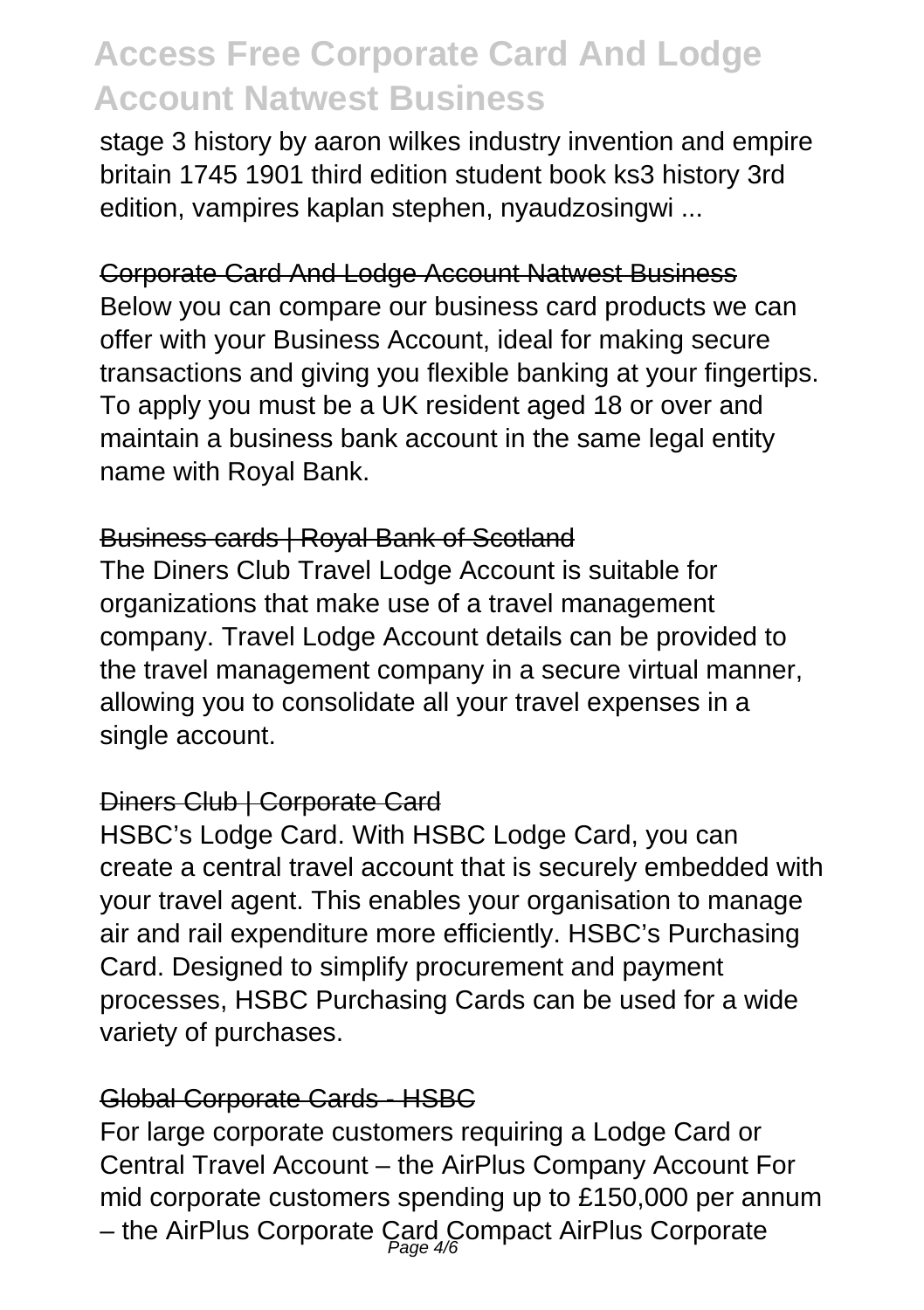stage 3 history by aaron wilkes industry invention and empire britain 1745 1901 third edition student book ks3 history 3rd edition, vampires kaplan stephen, nyaudzosingwi ...

#### Corporate Card And Lodge Account Natwest Business

Below you can compare our business card products we can offer with your Business Account, ideal for making secure transactions and giving you flexible banking at your fingertips. To apply you must be a UK resident aged 18 or over and maintain a business bank account in the same legal entity name with Royal Bank.

#### Business cards | Royal Bank of Scotland

The Diners Club Travel Lodge Account is suitable for organizations that make use of a travel management company. Travel Lodge Account details can be provided to the travel management company in a secure virtual manner, allowing you to consolidate all your travel expenses in a single account.

#### Diners Club | Corporate Card

HSBC's Lodge Card. With HSBC Lodge Card, you can create a central travel account that is securely embedded with your travel agent. This enables your organisation to manage air and rail expenditure more efficiently. HSBC's Purchasing Card. Designed to simplify procurement and payment processes, HSBC Purchasing Cards can be used for a wide variety of purchases.

#### Global Corporate Cards - HSBC

For large corporate customers requiring a Lodge Card or Central Travel Account – the AirPlus Company Account For mid corporate customers spending up to £150,000 per annum – the AirPlus Corporate Card Compact AirPlus Corporate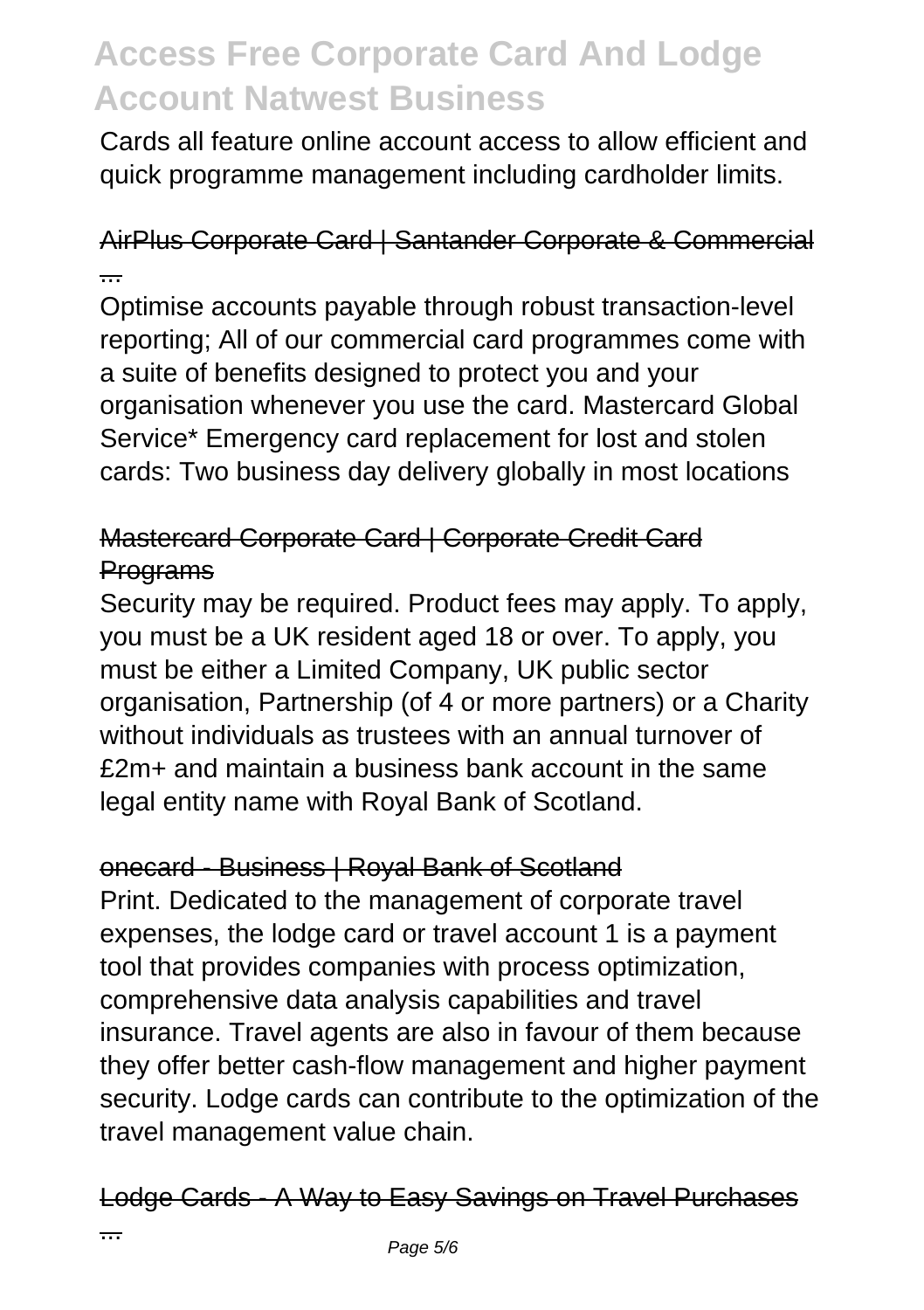Cards all feature online account access to allow efficient and quick programme management including cardholder limits.

### AirPlus Corporate Card | Santander Corporate & Commercial ...

Optimise accounts payable through robust transaction-level reporting; All of our commercial card programmes come with a suite of benefits designed to protect you and your organisation whenever you use the card. Mastercard Global Service\* Emergency card replacement for lost and stolen cards: Two business day delivery globally in most locations

### Mastercard Corporate Card | Corporate Credit Card **Programs**

Security may be required. Product fees may apply. To apply, you must be a UK resident aged 18 or over. To apply, you must be either a Limited Company, UK public sector organisation, Partnership (of 4 or more partners) or a Charity without individuals as trustees with an annual turnover of £2m+ and maintain a business bank account in the same legal entity name with Royal Bank of Scotland.

#### onecard - Business | Royal Bank of Scotland

Print. Dedicated to the management of corporate travel expenses, the lodge card or travel account 1 is a payment tool that provides companies with process optimization, comprehensive data analysis capabilities and travel insurance. Travel agents are also in favour of them because they offer better cash-flow management and higher payment security. Lodge cards can contribute to the optimization of the travel management value chain.

Lodge Cards - A Way to Easy Savings on Travel Purchases